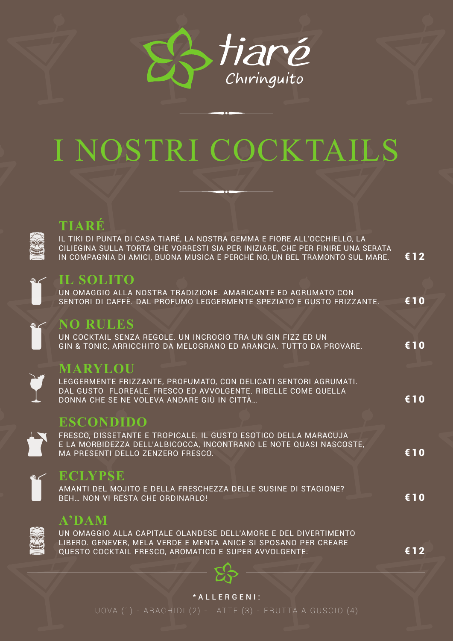

# I NOSTRI COCKTAILS



## TIARÉ

<u>IL TIKI DI PUNTA DI CASA TIARÉ, LA NOSTRA GEMMA E FIORE ALL'OCCHIELLO, LA</u> CILIEGINA SULLA TORTA CHE VORRESTI SIA PER INIZIARE, CHE PER FINIRE UNA SERATA IN COMPAGNIA DI AMICI, BUONA MUSICA E PERCHÉ NO, UN BEL TRAMONTO SUL MARE.  $£12$ 



## **IL SOLITO**

UN OMAGGIO ALLA NOSTRA TRADIZIONE. AMARICANTE ED AGRUMATO CON SENTORI DI CAFFÈ. DAL PROFUMO LEGGERMENTE SPEZIATO E GUSTO FRIZZANTE. € 10

### **NO RULES**

UN COCKTAIL SENZA REGOLE. UN INCROCIO TRA UN GIN FIZZ ED UN GIN & TONIC, ARRICCHITO DA MELOGRANO ED ARANCIA. TUTTO DA PROVARE. €10

## **MARYLOU**

LEGGERMENTE FRIZZANTE, PROFUMATO, CON DELICATI SENTORI AGRUMATI. DAL GUSTO FLOREALE, FRESCO ED AVVOLGENTE. RIBELLE COME QUELLA DONNA CHE SE NE VOLEVA ANDARE GIÙ IN CITTÀ...

## **ESCONDIDO**

FRESCO, DISSETANTE E TROPICALE. IL GUSTO ESOTICO DELLA MARACUJA E LA MORBIDEZZA DELL'ALBICOCCA, INCONTRANO LE NOTE QUASI NASCOSTE, MA PRESENTI DELLO ZENZERO FRESCO.



#### ECLYPSE

AMANTI DEL MOJITO E DELLA FRESCHEZZA DELLE SUSINE DI STAGIONE? BFH., NON VI RESTA CHE ORDINARI O!

#### $A^{\dagger}DAM$

UN OMAGGIO ALLA CAPITALE OLANDESE DELL'AMORE E DEL DIVERTIMENTO LIBERO. GENEVER, MELA VERDE E MENTA ANICE SI SPOSANO PER CREARE QUESTO COCKTAIL FRESCO, AROMATICO E SUPER AVVOLGENTE.

€12

€ 10

€10

€10



#### \*ALLERGENI: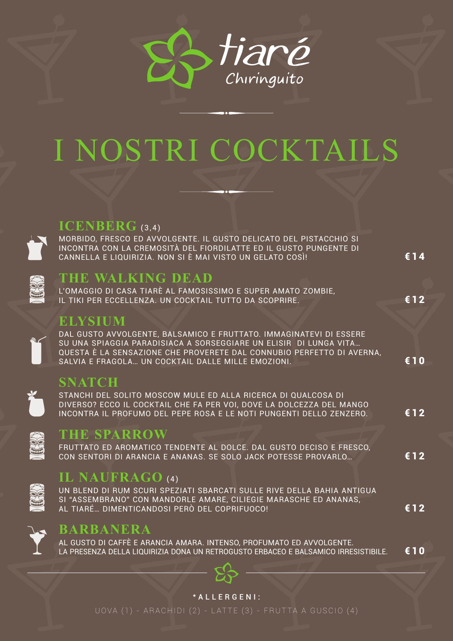

# NOSTRI COCKTAILS



#### **ICENBERG** (3.4)

MORBIDO, FRESCO ED AVVOLGENTE. IL GUSTO DELICATO DEL PISTACCHIO SI INCONTRA CON LA CREMOSITÀ DEL FIORDILATTE ED IL GUSTO PUNGENTE DI CANNELLA E LIQUIRIZIA. NON SI È MAI VISTO UN GELATO COSÌ!

€ 14

€12

 $f{10}$ 

€12

 $£12$ 

€12



## THE WALKING DEAD

L'OMAGGIO DI CASA TIARÈ AL FAMOSISSIMO E SUPER AMATO ZOMBIE, IL TIKI PER ECCELLENZA. UN COCKTAIL TUTTO DA SCOPRIRE.

**ELYSIUM** 

DAL GUSTO AVVOLGENTE, BALSAMICO E FRUTTATO. IMMAGINATEVI DI ESSERE SU UNA SPIAGGIA PARADISIACA A SORSEGGIARE UN ELISIR DI LUNGA VITA... QUESTA È LA SENSAZIONE CHE PROVERETE DAL CONNUBIO PERFETTO DI AVERNA, SALVIA E FRAGOLA... UN COCKTAIL DALLE MILLE EMOZIONI.

### **SNATCH**

STANCHI DEL SOLITO MOSCOW MULE ED ALLA RICERCA DI QUALCOSA DI DIVERSO? ECCO IL COCKTAIL CHE FA PER VOI, DOVE LA DOLCEZZA DEL MANGO INCONTRA IL PROFUMO DEL PEPE ROSA E LE NOTI PUNGENTI DELLO ZENZERO.



## **THE SPARROW**

FRUTTATO ED AROMATICO TENDENTE AL DOLCE. DAL GUSTO DECISO E FRESCO, CON SENTORI DI ARANCIA E ANANAS. SE SOLO JACK POTESSE PROVARLO...

## IL NAUFRAGO (4)

UN BLEND DI RUM SCURI SPEZIATI SBARCATI SULLE RIVE DELLA BAHIA ANTIGUA SI "ASSEMBRANO" CON MANDORLE AMARE, CILIEGIE MARASCHE ED ANANAS, AL TIARÉ… DIMENTICANDOSI PERÒ DEL COPRIFUOCO!



### **BARBANERA**

AL GUSTO DI CAFFÈ E ARANCIA AMARA. INTENSO, PROFUMATO ED AVVOLGENTE. €10 LA PRESENZA DELLA LIQUIRIZIA DONA UN RETROGUSTO FRBACEO E BALSAMICO IRRESISTIBILE.